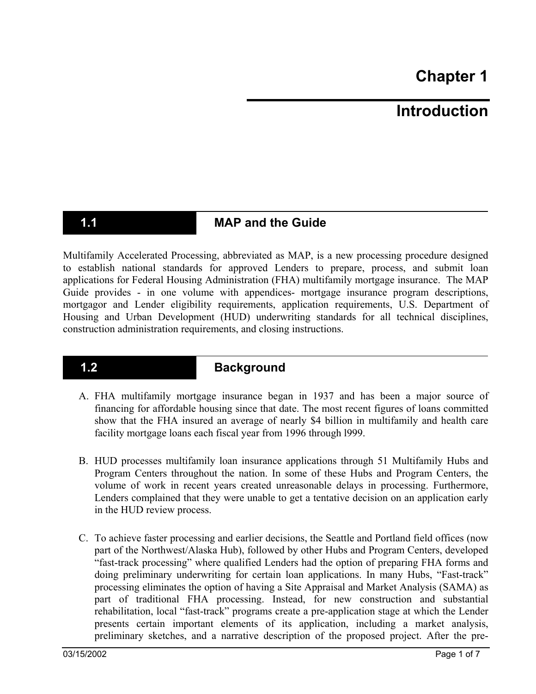# **Introduction**

## **1.1** MAP and the Guide

Multifamily Accelerated Processing, abbreviated as MAP, is a new processing procedure designed to establish national standards for approved Lenders to prepare, process, and submit loan applications for Federal Housing Administration (FHA) multifamily mortgage insurance. The MAP Guide provides - in one volume with appendices- mortgage insurance program descriptions, mortgagor and Lender eligibility requirements, application requirements, U.S. Department of Housing and Urban Development (HUD) underwriting standards for all technical disciplines, construction administration requirements, and closing instructions.

## **1.2 Background**

- A. FHA multifamily mortgage insurance began in 1937 and has been a major source of financing for affordable housing since that date. The most recent figures of loans committed show that the FHA insured an average of nearly \$4 billion in multifamily and health care facility mortgage loans each fiscal year from 1996 through l999.
- B. HUD processes multifamily loan insurance applications through 51 Multifamily Hubs and Program Centers throughout the nation. In some of these Hubs and Program Centers, the volume of work in recent years created unreasonable delays in processing. Furthermore, Lenders complained that they were unable to get a tentative decision on an application early in the HUD review process.
- C. To achieve faster processing and earlier decisions, the Seattle and Portland field offices (now part of the Northwest/Alaska Hub), followed by other Hubs and Program Centers, developed "fast-track processing" where qualified Lenders had the option of preparing FHA forms and doing preliminary underwriting for certain loan applications. In many Hubs, "Fast-track" processing eliminates the option of having a Site Appraisal and Market Analysis (SAMA) as part of traditional FHA processing. Instead, for new construction and substantial rehabilitation, local "fast-track" programs create a pre-application stage at which the Lender presents certain important elements of its application, including a market analysis, preliminary sketches, and a narrative description of the proposed project. After the pre-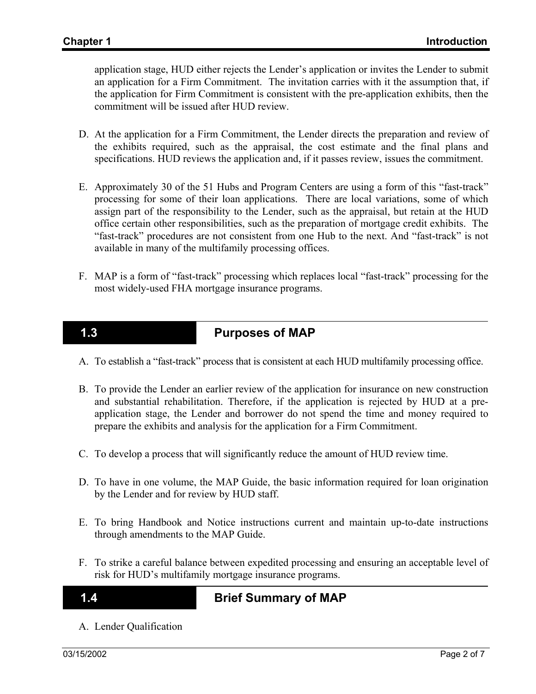application stage, HUD either rejects the Lender's application or invites the Lender to submit an application for a Firm Commitment. The invitation carries with it the assumption that, if the application for Firm Commitment is consistent with the pre-application exhibits, then the commitment will be issued after HUD review.

- D. At the application for a Firm Commitment, the Lender directs the preparation and review of the exhibits required, such as the appraisal, the cost estimate and the final plans and specifications. HUD reviews the application and, if it passes review, issues the commitment.
- E. Approximately 30 of the 51 Hubs and Program Centers are using a form of this "fast-track" processing for some of their loan applications. There are local variations, some of which assign part of the responsibility to the Lender, such as the appraisal, but retain at the HUD office certain other responsibilities, such as the preparation of mortgage credit exhibits. The "fast-track" procedures are not consistent from one Hub to the next. And "fast-track" is not available in many of the multifamily processing offices.
- F. MAP is a form of "fast-track" processing which replaces local "fast-track" processing for the most widely-used FHA mortgage insurance programs.

## **1.3 Purposes of MAP**

- A. To establish a "fast-track" process that is consistent at each HUD multifamily processing office.
- B. To provide the Lender an earlier review of the application for insurance on new construction and substantial rehabilitation. Therefore, if the application is rejected by HUD at a preapplication stage, the Lender and borrower do not spend the time and money required to prepare the exhibits and analysis for the application for a Firm Commitment.
- C. To develop a process that will significantly reduce the amount of HUD review time.
- D. To have in one volume, the MAP Guide, the basic information required for loan origination by the Lender and for review by HUD staff.
- E. To bring Handbook and Notice instructions current and maintain up-to-date instructions through amendments to the MAP Guide.
- F. To strike a careful balance between expedited processing and ensuring an acceptable level of risk for HUD's multifamily mortgage insurance programs.

## **1.4 Brief Summary of MAP**

A. Lender Qualification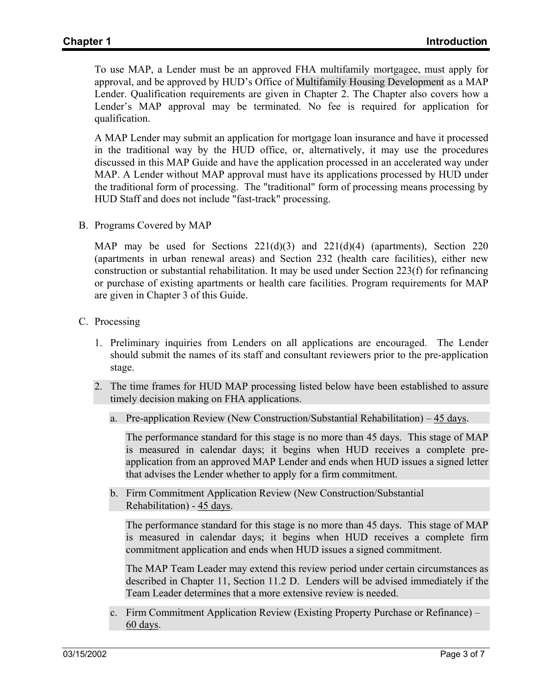To use MAP, a Lender must be an approved FHA multifamily mortgagee, must apply for approval, and be approved by HUD's Office of Multifamily Housing Development as a MAP Lender. Qualification requirements are given in Chapter 2. The Chapter also covers how a Lender's MAP approval may be terminated. No fee is required for application for qualification.

A MAP Lender may submit an application for mortgage loan insurance and have it processed in the traditional way by the HUD office, or, alternatively, it may use the procedures discussed in this MAP Guide and have the application processed in an accelerated way under MAP. A Lender without MAP approval must have its applications processed by HUD under the traditional form of processing. The "traditional" form of processing means processing by HUD Staff and does not include "fast-track" processing.

B. Programs Covered by MAP

MAP may be used for Sections  $221(d)(3)$  and  $221(d)(4)$  (apartments), Section 220 (apartments in urban renewal areas) and Section 232 (health care facilities), either new construction or substantial rehabilitation. It may be used under Section 223(f) for refinancing or purchase of existing apartments or health care facilities. Program requirements for MAP are given in Chapter 3 of this Guide.

- C. Processing
	- 1. Preliminary inquiries from Lenders on all applications are encouraged. The Lender should submit the names of its staff and consultant reviewers prior to the pre-application stage.
	- 2. The time frames for HUD MAP processing listed below have been established to assure timely decision making on FHA applications.
		- a. Pre-application Review (New Construction/Substantial Rehabilitation) 45 days.

The performance standard for this stage is no more than 45 days. This stage of MAP is measured in calendar days; it begins when HUD receives a complete preapplication from an approved MAP Lender and ends when HUD issues a signed letter that advises the Lender whether to apply for a firm commitment.

b. Firm Commitment Application Review (New Construction/Substantial Rehabilitation) - 45 days.

The performance standard for this stage is no more than 45 days. This stage of MAP is measured in calendar days; it begins when HUD receives a complete firm commitment application and ends when HUD issues a signed commitment.

The MAP Team Leader may extend this review period under certain circumstances as described in Chapter 11, Section 11.2 D. Lenders will be advised immediately if the Team Leader determines that a more extensive review is needed.

c. Firm Commitment Application Review (Existing Property Purchase or Refinance) – 60 days.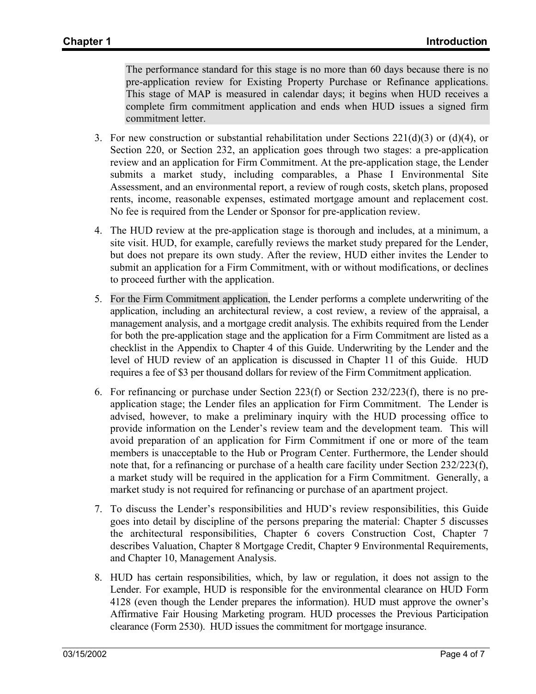The performance standard for this stage is no more than 60 days because there is no pre-application review for Existing Property Purchase or Refinance applications. This stage of MAP is measured in calendar days; it begins when HUD receives a complete firm commitment application and ends when HUD issues a signed firm commitment letter.

- 3. For new construction or substantial rehabilitation under Sections  $221(d)(3)$  or  $(d)(4)$ , or Section 220, or Section 232, an application goes through two stages: a pre-application review and an application for Firm Commitment. At the pre-application stage, the Lender submits a market study, including comparables, a Phase I Environmental Site Assessment, and an environmental report, a review of rough costs, sketch plans, proposed rents, income, reasonable expenses, estimated mortgage amount and replacement cost. No fee is required from the Lender or Sponsor for pre-application review.
- 4. The HUD review at the pre-application stage is thorough and includes, at a minimum, a site visit. HUD, for example, carefully reviews the market study prepared for the Lender, but does not prepare its own study. After the review, HUD either invites the Lender to submit an application for a Firm Commitment, with or without modifications, or declines to proceed further with the application.
- 5. For the Firm Commitment application, the Lender performs a complete underwriting of the application, including an architectural review, a cost review, a review of the appraisal, a management analysis, and a mortgage credit analysis. The exhibits required from the Lender for both the pre-application stage and the application for a Firm Commitment are listed as a checklist in the Appendix to Chapter 4 of this Guide. Underwriting by the Lender and the level of HUD review of an application is discussed in Chapter 11 of this Guide. HUD requires a fee of \$3 per thousand dollars for review of the Firm Commitment application.
- 6. For refinancing or purchase under Section 223(f) or Section 232/223(f), there is no preapplication stage; the Lender files an application for Firm Commitment. The Lender is advised, however, to make a preliminary inquiry with the HUD processing office to provide information on the Lender's review team and the development team. This will avoid preparation of an application for Firm Commitment if one or more of the team members is unacceptable to the Hub or Program Center. Furthermore, the Lender should note that, for a refinancing or purchase of a health care facility under Section 232/223(f), a market study will be required in the application for a Firm Commitment. Generally, a market study is not required for refinancing or purchase of an apartment project.
- 7. To discuss the Lender's responsibilities and HUD's review responsibilities, this Guide goes into detail by discipline of the persons preparing the material: Chapter 5 discusses the architectural responsibilities, Chapter 6 covers Construction Cost, Chapter 7 describes Valuation, Chapter 8 Mortgage Credit, Chapter 9 Environmental Requirements, and Chapter 10, Management Analysis.
- 8. HUD has certain responsibilities, which, by law or regulation, it does not assign to the Lender. For example, HUD is responsible for the environmental clearance on HUD Form 4128 (even though the Lender prepares the information). HUD must approve the owner's Affirmative Fair Housing Marketing program. HUD processes the Previous Participation clearance (Form 2530). HUD issues the commitment for mortgage insurance.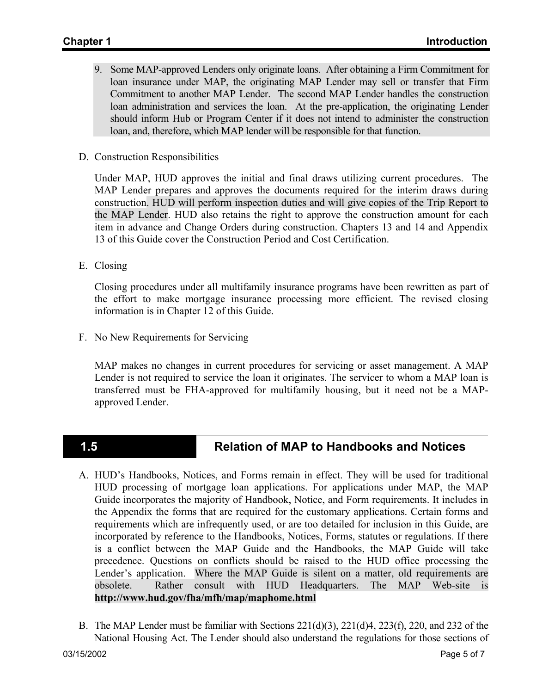- 9. Some MAP-approved Lenders only originate loans. After obtaining a Firm Commitment for loan insurance under MAP, the originating MAP Lender may sell or transfer that Firm Commitment to another MAP Lender. The second MAP Lender handles the construction loan administration and services the loan. At the pre-application, the originating Lender should inform Hub or Program Center if it does not intend to administer the construction loan, and, therefore, which MAP lender will be responsible for that function.
- D. Construction Responsibilities

Under MAP, HUD approves the initial and final draws utilizing current procedures. The MAP Lender prepares and approves the documents required for the interim draws during construction. HUD will perform inspection duties and will give copies of the Trip Report to the MAP Lender. HUD also retains the right to approve the construction amount for each item in advance and Change Orders during construction. Chapters 13 and 14 and Appendix 13 of this Guide cover the Construction Period and Cost Certification.

E. Closing

Closing procedures under all multifamily insurance programs have been rewritten as part of the effort to make mortgage insurance processing more efficient. The revised closing information is in Chapter 12 of this Guide.

F. No New Requirements for Servicing

MAP makes no changes in current procedures for servicing or asset management. A MAP Lender is not required to service the loan it originates. The servicer to whom a MAP loan is transferred must be FHA-approved for multifamily housing, but it need not be a MAPapproved Lender.

## **1.5 Relation of MAP to Handbooks and Notices**

- A. HUD's Handbooks, Notices, and Forms remain in effect. They will be used for traditional HUD processing of mortgage loan applications. For applications under MAP, the MAP Guide incorporates the majority of Handbook, Notice, and Form requirements. It includes in the Appendix the forms that are required for the customary applications. Certain forms and requirements which are infrequently used, or are too detailed for inclusion in this Guide, are incorporated by reference to the Handbooks, Notices, Forms, statutes or regulations. If there is a conflict between the MAP Guide and the Handbooks, the MAP Guide will take precedence. Questions on conflicts should be raised to the HUD office processing the Lender's application. Where the MAP Guide is silent on a matter, old requirements are obsolete. Rather consult with HUD Headquarters. The MAP Web-site is **http://www.hud.gov/fha/mfh/map/maphome.html**
- B. The MAP Lender must be familiar with Sections  $221(d)(3)$ ,  $221(d)(4)$ ,  $223(f)$ ,  $220$ , and  $232$  of the National Housing Act. The Lender should also understand the regulations for those sections of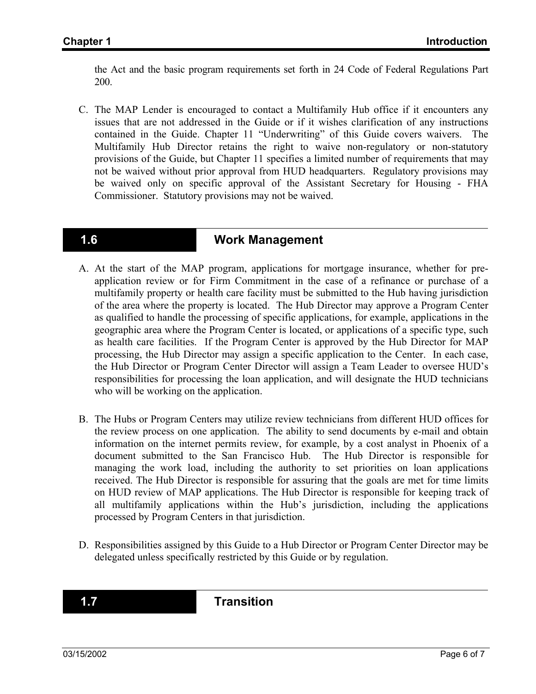the Act and the basic program requirements set forth in 24 Code of Federal Regulations Part 200.

C. The MAP Lender is encouraged to contact a Multifamily Hub office if it encounters any issues that are not addressed in the Guide or if it wishes clarification of any instructions contained in the Guide. Chapter 11 "Underwriting" of this Guide covers waivers. The Multifamily Hub Director retains the right to waive non-regulatory or non-statutory provisions of the Guide, but Chapter 11 specifies a limited number of requirements that may not be waived without prior approval from HUD headquarters. Regulatory provisions may be waived only on specific approval of the Assistant Secretary for Housing - FHA Commissioner. Statutory provisions may not be waived.

### **1.6 Work Management**

- A. At the start of the MAP program, applications for mortgage insurance, whether for preapplication review or for Firm Commitment in the case of a refinance or purchase of a multifamily property or health care facility must be submitted to the Hub having jurisdiction of the area where the property is located. The Hub Director may approve a Program Center as qualified to handle the processing of specific applications, for example, applications in the geographic area where the Program Center is located, or applications of a specific type, such as health care facilities. If the Program Center is approved by the Hub Director for MAP processing, the Hub Director may assign a specific application to the Center. In each case, the Hub Director or Program Center Director will assign a Team Leader to oversee HUD's responsibilities for processing the loan application, and will designate the HUD technicians who will be working on the application.
- B. The Hubs or Program Centers may utilize review technicians from different HUD offices for the review process on one application. The ability to send documents by e-mail and obtain information on the internet permits review, for example, by a cost analyst in Phoenix of a document submitted to the San Francisco Hub. The Hub Director is responsible for managing the work load, including the authority to set priorities on loan applications received. The Hub Director is responsible for assuring that the goals are met for time limits on HUD review of MAP applications. The Hub Director is responsible for keeping track of all multifamily applications within the Hub's jurisdiction, including the applications processed by Program Centers in that jurisdiction.
- D. Responsibilities assigned by this Guide to a Hub Director or Program Center Director may be delegated unless specifically restricted by this Guide or by regulation.

**1.7 Transition**